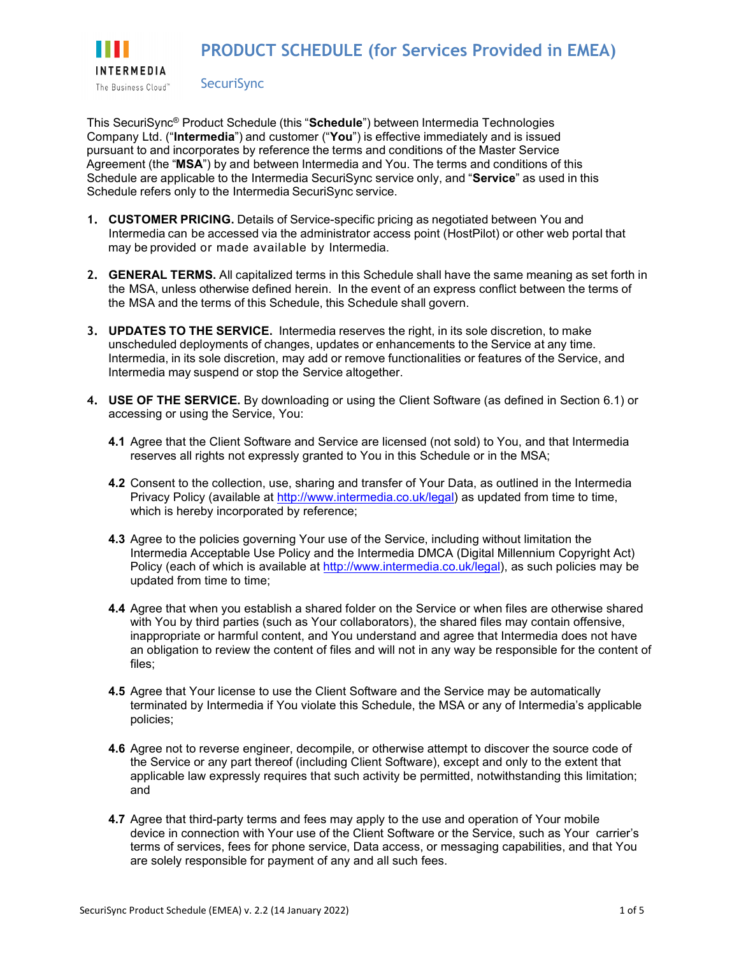

**SecuriSync** 

This SecuriSync® Product Schedule (this "**Schedule**") between Intermedia Technologies Company Ltd. ("**Intermedia**") and customer ("**You**") is effective immediately and is issued pursuant to and incorporates by reference the terms and conditions of the Master Service Agreement (the "**MSA**") by and between Intermedia and You. The terms and conditions of this Schedule are applicable to the Intermedia SecuriSync service only, and "**Service**" as used in this Schedule refers only to the Intermedia SecuriSync service.

- **1. CUSTOMER PRICING.** Details of Service-specific pricing as negotiated between You and Intermedia can be accessed via the administrator access point (HostPilot) or other web portal that may be provided or made available by Intermedia.
- **2. GENERAL TERMS.** All capitalized terms in this Schedule shall have the same meaning as set forth in the MSA, unless otherwise defined herein. In the event of an express conflict between the terms of the MSA and the terms of this Schedule, this Schedule shall govern.
- **3. UPDATES TO THE SERVICE.** Intermedia reserves the right, in its sole discretion, to make unscheduled deployments of changes, updates or enhancements to the Service at any time. Intermedia, in its sole discretion, may add or remove functionalities or features of the Service, and Intermedia may suspend or stop the Service altogether.
- **4. USE OF THE SERVICE.** By downloading or using the Client Software (as defined in Section 6.1) or accessing or using the Service, You:
	- **4.1** Agree that the Client Software and Service are licensed (not sold) to You, and that Intermedia reserves all rights not expressly granted to You in this Schedule or in the MSA;
	- **4.2** Consent to the collection, use, sharing and transfer of Your Data, as outlined in the Intermedia Privacy Policy (available at [http://www.intermedia.co.uk/legal\)](http://www.intermedia.co.uk/legal) as updated from time to time, which is hereby incorporated by reference;
	- **4.3** Agree to the policies governing Your use of the Service, including without limitation the Intermedia Acceptable Use Policy and the Intermedia DMCA (Digital Millennium Copyright Act) Policy (each of which is available at [http://www.intermedia.co.uk/legal\)](http://www.intermedia.co.uk/legal), as such policies may be updated from time to time;
	- **4.4** Agree that when you establish a shared folder on the Service or when files are otherwise shared with You by third parties (such as Your collaborators), the shared files may contain offensive, inappropriate or harmful content, and You understand and agree that Intermedia does not have an obligation to review the content of files and will not in any way be responsible for the content of files;
	- **4.5** Agree that Your license to use the Client Software and the Service may be automatically terminated by Intermedia if You violate this Schedule, the MSA or any of Intermedia's applicable policies;
	- **4.6** Agree not to reverse engineer, decompile, or otherwise attempt to discover the source code of the Service or any part thereof (including Client Software), except and only to the extent that applicable law expressly requires that such activity be permitted, notwithstanding this limitation; and
	- **4.7** Agree that third-party terms and fees may apply to the use and operation of Your mobile device in connection with Your use of the Client Software or the Service, such as Your carrier's terms of services, fees for phone service, Data access, or messaging capabilities, and that You are solely responsible for payment of any and all such fees.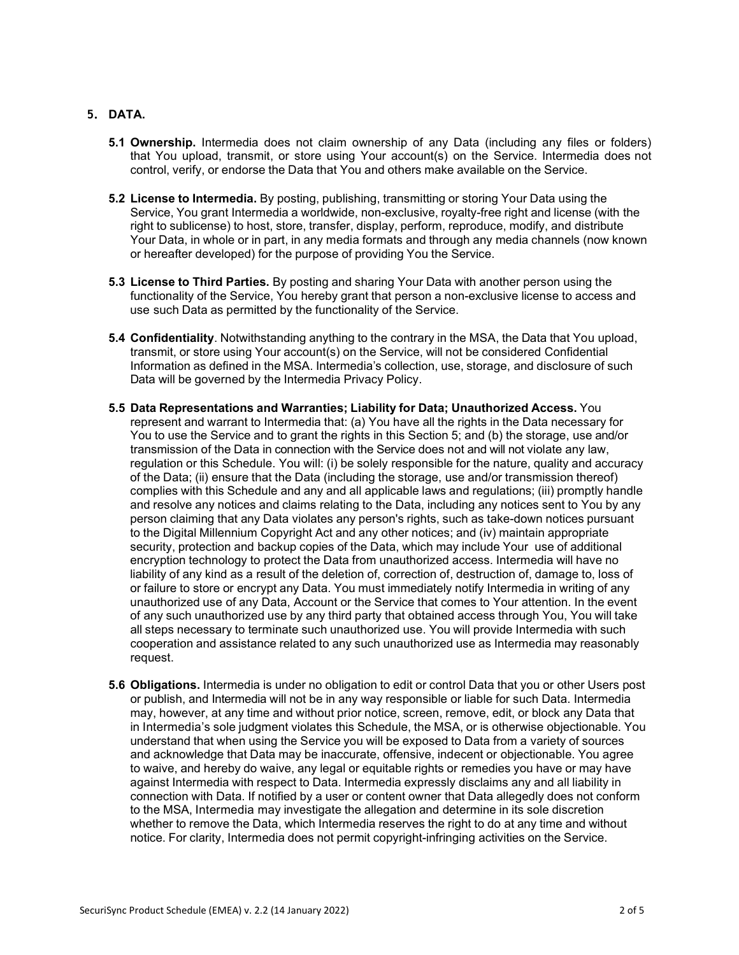## **5. DATA.**

- **5.1 Ownership.** Intermedia does not claim ownership of any Data (including any files or folders) that You upload, transmit, or store using Your account(s) on the Service. Intermedia does not control, verify, or endorse the Data that You and others make available on the Service.
- **5.2 License to Intermedia.** By posting, publishing, transmitting or storing Your Data using the Service, You grant Intermedia a worldwide, non-exclusive, royalty-free right and license (with the right to sublicense) to host, store, transfer, display, perform, reproduce, modify, and distribute Your Data, in whole or in part, in any media formats and through any media channels (now known or hereafter developed) for the purpose of providing You the Service.
- **5.3 License to Third Parties.** By posting and sharing Your Data with another person using the functionality of the Service, You hereby grant that person a non-exclusive license to access and use such Data as permitted by the functionality of the Service.
- **5.4 Confidentiality**. Notwithstanding anything to the contrary in the MSA, the Data that You upload, transmit, or store using Your account(s) on the Service, will not be considered Confidential Information as defined in the MSA. Intermedia's collection, use, storage, and disclosure of such Data will be governed by the Intermedia Privacy Policy.
- **5.5 Data Representations and Warranties; Liability for Data; Unauthorized Access.** You represent and warrant to Intermedia that: (a) You have all the rights in the Data necessary for You to use the Service and to grant the rights in this Section 5; and (b) the storage, use and/or transmission of the Data in connection with the Service does not and will not violate any law, regulation or this Schedule. You will: (i) be solely responsible for the nature, quality and accuracy of the Data; (ii) ensure that the Data (including the storage, use and/or transmission thereof) complies with this Schedule and any and all applicable laws and regulations; (iii) promptly handle and resolve any notices and claims relating to the Data, including any notices sent to You by any person claiming that any Data violates any person's rights, such as take-down notices pursuant to the Digital Millennium Copyright Act and any other notices; and (iv) maintain appropriate security, protection and backup copies of the Data, which may include Your use of additional encryption technology to protect the Data from unauthorized access. Intermedia will have no liability of any kind as a result of the deletion of, correction of, destruction of, damage to, loss of or failure to store or encrypt any Data. You must immediately notify Intermedia in writing of any unauthorized use of any Data, Account or the Service that comes to Your attention. In the event of any such unauthorized use by any third party that obtained access through You, You will take all steps necessary to terminate such unauthorized use. You will provide Intermedia with such cooperation and assistance related to any such unauthorized use as Intermedia may reasonably request.
- **5.6 Obligations.** Intermedia is under no obligation to edit or control Data that you or other Users post or publish, and Intermedia will not be in any way responsible or liable for such Data. Intermedia may, however, at any time and without prior notice, screen, remove, edit, or block any Data that in Intermedia's sole judgment violates this Schedule, the MSA, or is otherwise objectionable. You understand that when using the Service you will be exposed to Data from a variety of sources and acknowledge that Data may be inaccurate, offensive, indecent or objectionable. You agree to waive, and hereby do waive, any legal or equitable rights or remedies you have or may have against Intermedia with respect to Data. Intermedia expressly disclaims any and all liability in connection with Data. If notified by a user or content owner that Data allegedly does not conform to the MSA, Intermedia may investigate the allegation and determine in its sole discretion whether to remove the Data, which Intermedia reserves the right to do at any time and without notice. For clarity, Intermedia does not permit copyright-infringing activities on the Service.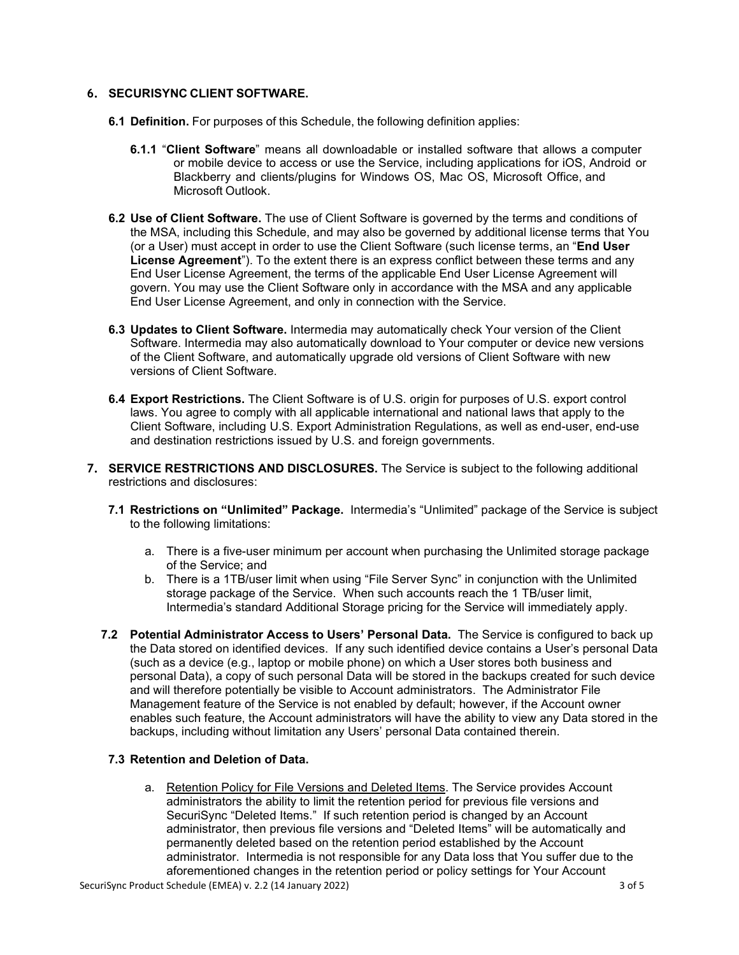## **6. SECURISYNC CLIENT SOFTWARE.**

- **6.1 Definition.** For purposes of this Schedule, the following definition applies:
	- **6.1.1** "**Client Software**" means all downloadable or installed software that allows a computer or mobile device to access or use the Service, including applications for iOS, Android or Blackberry and clients/plugins for Windows OS, Mac OS, Microsoft Office, and Microsoft Outlook.
- **6.2 Use of Client Software.** The use of Client Software is governed by the terms and conditions of the MSA, including this Schedule, and may also be governed by additional license terms that You (or a User) must accept in order to use the Client Software (such license terms, an "**End User License Agreement**"). To the extent there is an express conflict between these terms and any End User License Agreement, the terms of the applicable End User License Agreement will govern. You may use the Client Software only in accordance with the MSA and any applicable End User License Agreement, and only in connection with the Service.
- **6.3 Updates to Client Software.** Intermedia may automatically check Your version of the Client Software. Intermedia may also automatically download to Your computer or device new versions of the Client Software, and automatically upgrade old versions of Client Software with new versions of Client Software.
- **6.4 Export Restrictions.** The Client Software is of U.S. origin for purposes of U.S. export control laws. You agree to comply with all applicable international and national laws that apply to the Client Software, including U.S. Export Administration Regulations, as well as end-user, end-use and destination restrictions issued by U.S. and foreign governments.
- **7. SERVICE RESTRICTIONS AND DISCLOSURES.** The Service is subject to the following additional restrictions and disclosures:
	- **7.1 Restrictions on "Unlimited" Package.** Intermedia's "Unlimited" package of the Service is subject to the following limitations:
		- a. There is a five-user minimum per account when purchasing the Unlimited storage package of the Service; and
		- b. There is a 1TB/user limit when using "File Server Sync" in conjunction with the Unlimited storage package of the Service. When such accounts reach the 1 TB/user limit, Intermedia's standard Additional Storage pricing for the Service will immediately apply.
	- **7.2 Potential Administrator Access to Users' Personal Data.** The Service is configured to back up the Data stored on identified devices. If any such identified device contains a User's personal Data (such as a device (e.g., laptop or mobile phone) on which a User stores both business and personal Data), a copy of such personal Data will be stored in the backups created for such device and will therefore potentially be visible to Account administrators. The Administrator File Management feature of the Service is not enabled by default; however, if the Account owner enables such feature, the Account administrators will have the ability to view any Data stored in the backups, including without limitation any Users' personal Data contained therein.

## **7.3 Retention and Deletion of Data.**

a. Retention Policy for File Versions and Deleted Items. The Service provides Account administrators the ability to limit the retention period for previous file versions and SecuriSync "Deleted Items." If such retention period is changed by an Account administrator, then previous file versions and "Deleted Items" will be automatically and permanently deleted based on the retention period established by the Account administrator. Intermedia is not responsible for any Data loss that You suffer due to the aforementioned changes in the retention period or policy settings for Your Account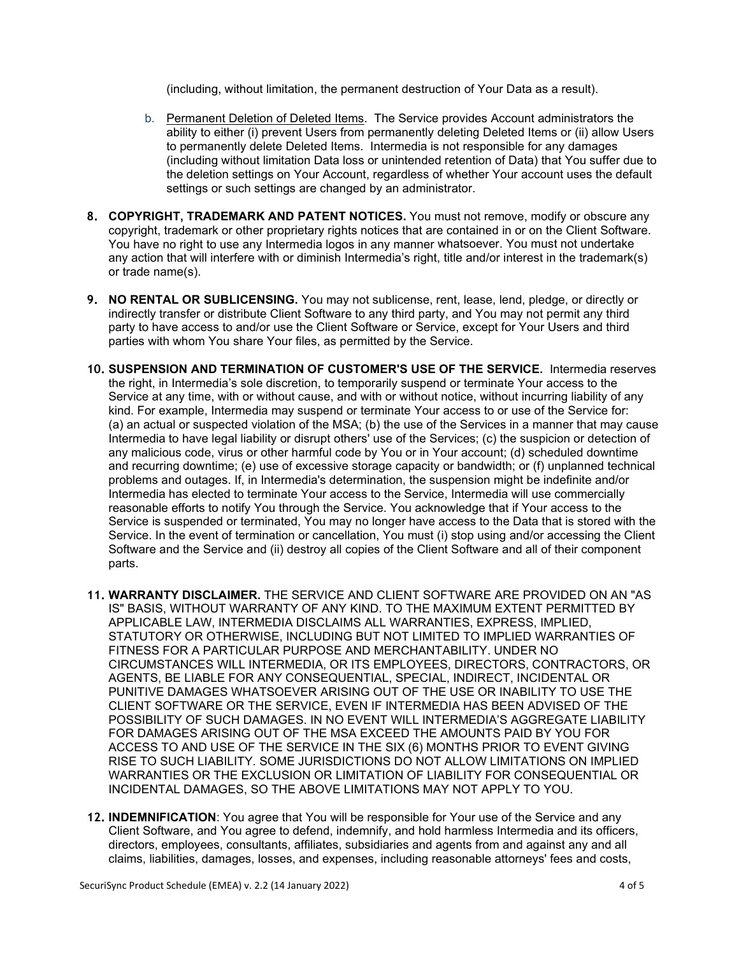(including, without limitation, the permanent destruction of Your Data as a result).

- b. Permanent Deletion of Deleted Items. The Service provides Account administrators the ability to either (i) prevent Users from permanently deleting Deleted Items or (ii) allow Users to permanently delete Deleted Items. Intermedia is not responsible for any damages (including without limitation Data loss or unintended retention of Data) that You suffer due to the deletion settings on Your Account, regardless of whether Your account uses the default settings or such settings are changed by an administrator.
- **8. COPYRIGHT, TRADEMARK AND PATENT NOTICES.** You must not remove, modify or obscure any copyright, trademark or other proprietary rights notices that are contained in or on the Client Software. You have no right to use any Intermedia logos in any manner whatsoever. You must not undertake any action that will interfere with or diminish Intermedia's right, title and/or interest in the trademark(s) or trade name(s).
- **9. NO RENTAL OR SUBLICENSING.** You may not sublicense, rent, lease, lend, pledge, or directly or indirectly transfer or distribute Client Software to any third party, and You may not permit any third party to have access to and/or use the Client Software or Service, except for Your Users and third parties with whom You share Your files, as permitted by the Service.
- **10. SUSPENSION AND TERMINATION OF CUSTOMER'S USE OF THE SERVICE.** Intermedia reserves the right, in Intermedia's sole discretion, to temporarily suspend or terminate Your access to the Service at any time, with or without cause, and with or without notice, without incurring liability of any kind. For example, Intermedia may suspend or terminate Your access to or use of the Service for: (a) an actual or suspected violation of the MSA; (b) the use of the Services in a manner that may cause Intermedia to have legal liability or disrupt others' use of the Services; (c) the suspicion or detection of any malicious code, virus or other harmful code by You or in Your account; (d) scheduled downtime and recurring downtime; (e) use of excessive storage capacity or bandwidth; or (f) unplanned technical problems and outages. If, in Intermedia's determination, the suspension might be indefinite and/or Intermedia has elected to terminate Your access to the Service, Intermedia will use commercially reasonable efforts to notify You through the Service. You acknowledge that if Your access to the Service is suspended or terminated, You may no longer have access to the Data that is stored with the Service. In the event of termination or cancellation, You must (i) stop using and/or accessing the Client Software and the Service and (ii) destroy all copies of the Client Software and all of their component parts.
- **11. WARRANTY DISCLAIMER.** THE SERVICE AND CLIENT SOFTWARE ARE PROVIDED ON AN "AS IS" BASIS, WITHOUT WARRANTY OF ANY KIND. TO THE MAXIMUM EXTENT PERMITTED BY APPLICABLE LAW, INTERMEDIA DISCLAIMS ALL WARRANTIES, EXPRESS, IMPLIED, STATUTORY OR OTHERWISE, INCLUDING BUT NOT LIMITED TO IMPLIED WARRANTIES OF FITNESS FOR A PARTICULAR PURPOSE AND MERCHANTABILITY. UNDER NO CIRCUMSTANCES WILL INTERMEDIA, OR ITS EMPLOYEES, DIRECTORS, CONTRACTORS, OR AGENTS, BE LIABLE FOR ANY CONSEQUENTIAL, SPECIAL, INDIRECT, INCIDENTAL OR PUNITIVE DAMAGES WHATSOEVER ARISING OUT OF THE USE OR INABILITY TO USE THE CLIENT SOFTWARE OR THE SERVICE, EVEN IF INTERMEDIA HAS BEEN ADVISED OF THE POSSIBILITY OF SUCH DAMAGES. IN NO EVENT WILL INTERMEDIA'S AGGREGATE LIABILITY FOR DAMAGES ARISING OUT OF THE MSA EXCEED THE AMOUNTS PAID BY YOU FOR ACCESS TO AND USE OF THE SERVICE IN THE SIX (6) MONTHS PRIOR TO EVENT GIVING RISE TO SUCH LIABILITY. SOME JURISDICTIONS DO NOT ALLOW LIMITATIONS ON IMPLIED WARRANTIES OR THE EXCLUSION OR LIMITATION OF LIABILITY FOR CONSEQUENTIAL OR INCIDENTAL DAMAGES, SO THE ABOVE LIMITATIONS MAY NOT APPLY TO YOU.
- **12. INDEMNIFICATION**: You agree that You will be responsible for Your use of the Service and any Client Software, and You agree to defend, indemnify, and hold harmless Intermedia and its officers, directors, employees, consultants, affiliates, subsidiaries and agents from and against any and all claims, liabilities, damages, losses, and expenses, including reasonable attorneys' fees and costs,